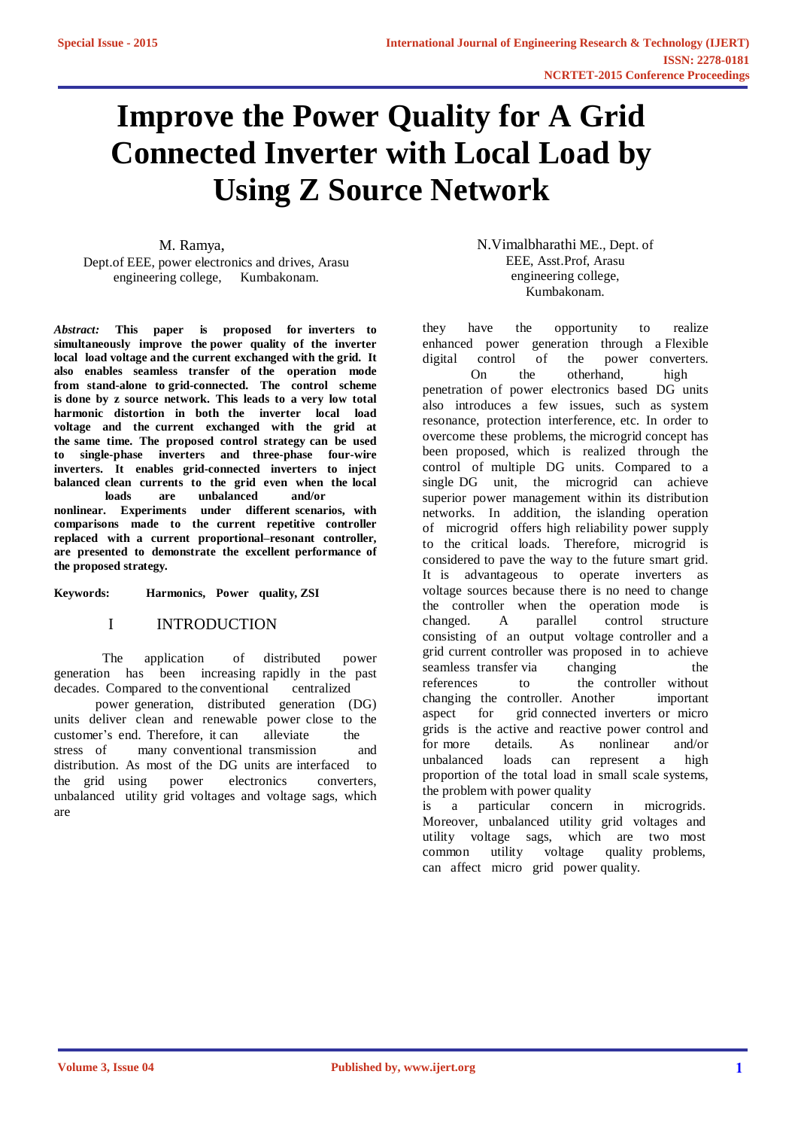# **Improve the Power Quality for A Grid Connected Inverter with Local Load by Using Z Source Network**

M. Ramya, Dept.of EEE, power electronics and drives, Arasu engineering college, Kumbakonam.

*Abstract:* **This paper is proposed for inverters to simultaneously improve the power quality of the inverter local load voltage and the current exchanged with the grid. It also enables seamless transfer of the operation mode from stand-alone to grid-connected. The control scheme is done by z source network. This leads to a very low total harmonic distortion in both the inverter local load voltage and the current exchanged with the grid at the same time. The proposed control strategy can be used to single-phase inverters and three-phase four-wire inverters. It enables grid-connected inverters to inject balanced clean currents to the grid even when the local loads are unbalanced and/or nonlinear. Experiments under different scenarios, with comparisons made to the current repetitive controller replaced with a current proportional–resonant controller, are presented to demonstrate the excellent performance of**

#### **Keywords: Harmonics, Power quality, ZSI**

**the proposed strategy.**

### I INTRODUCTION

The application of distributed power generation has been increasing rapidly in the past decades. Compared to the conventional centralized

power generation, distributed generation (DG) units deliver clean and renewable power close to the customer"s end. Therefore, it can alleviate the stress of many conventional transmission and distribution. As most of the DG units are interfaced to the grid using power electronics converters, unbalanced utility grid voltages and voltage sags, which are

N.Vimalbharathi ME., Dept. of EEE, Asst.Prof, Arasu engineering college, Kumbakonam.

they have the opportunity to realize enhanced power generation through a Flexible digital control of the power converters.

On the otherhand, high penetration of power electronics based DG units also introduces a few issues, such as system resonance, protection interference, etc. In order to overcome these problems, the microgrid concept has been proposed, which is realized through the control of multiple DG units. Compared to a single DG unit, the microgrid can achieve superior power management within its distribution networks. In addition, the islanding operation of microgrid offers high reliability power supply to the critical loads. Therefore, microgrid is considered to pave the way to the future smart grid. It is advantageous to operate inverters as voltage sources because there is no need to change the controller when the operation mode is changed. A parallel control structure consisting of an output voltage controller and a grid current controller was proposed in to achieve seamless transfer via changing the references to the controller without changing the controller. Another important aspect for grid connected inverters or micro grids is the active and reactive power control and for more details. As nonlinear and/or unbalanced loads can represent a high proportion of the total load in small scale systems, the problem with power quality

is a particular concern in microgrids. Moreover, unbalanced utility grid voltages and utility voltage sags, which are two most common utility voltage quality problems, can affect micro grid power quality.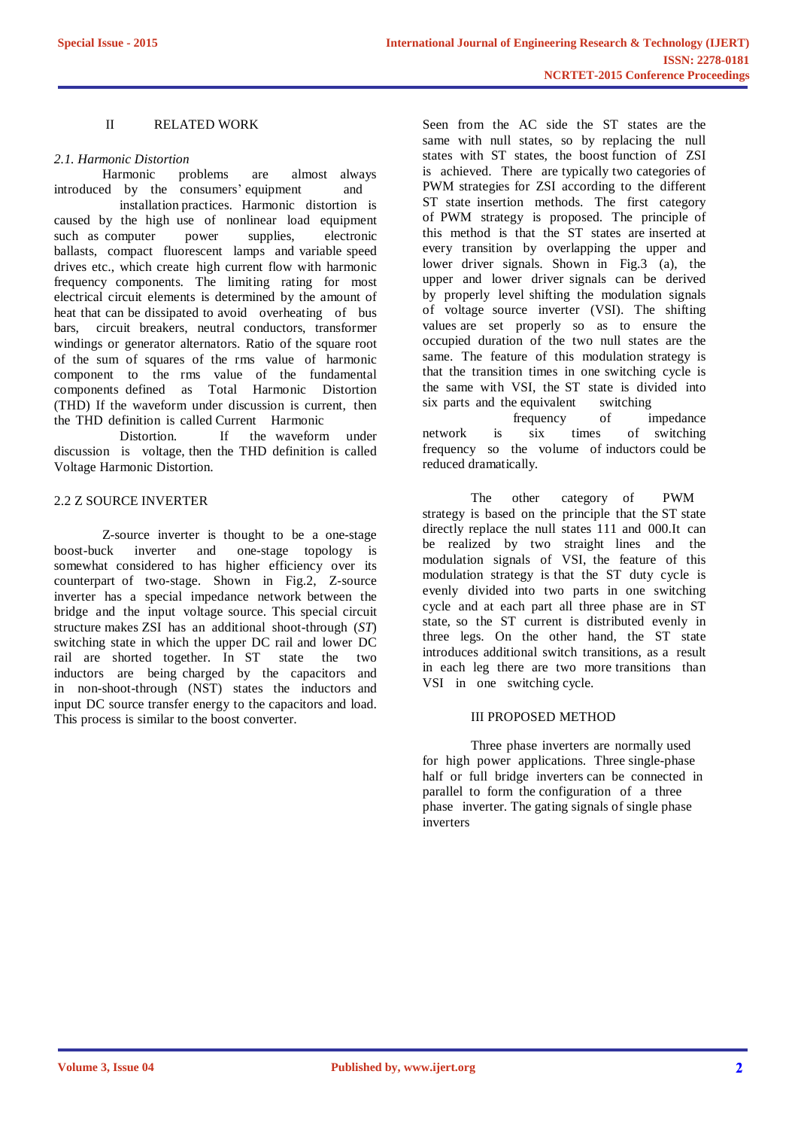# II RELATED WORK

*2.1. Harmonic Distortion* Harmonic problems are almost always introduced by the consumers' equipment and installation practices. Harmonic distortion is caused by the high use of nonlinear load equipment such as computer power supplies, electronic ballasts, compact fluorescent lamps and variable speed drives etc., which create high current flow with harmonic frequency components. The limiting rating for most electrical circuit elements is determined by the amount of heat that can be dissipated to avoid overheating of bus bars, circuit breakers, neutral conductors, transformer windings or generator alternators. Ratio of the square root of the sum of squares of the rms value of harmonic component to the rms value of the fundamental components defined as Total Harmonic Distortion (THD) If the waveform under discussion is current, then the THD definition is called Current Harmonic

Distortion. If the waveform under discussion is voltage, then the THD definition is called Voltage Harmonic Distortion.

#### 2.2 Z SOURCE INVERTER

Z-source inverter is thought to be a one-stage<br>ick inverter and one-stage topology is boost-buck inverter and one-stage topology is somewhat considered to has higher efficiency over its counterpart of two-stage. Shown in Fig.2, Z-source inverter has a special impedance network between the bridge and the input voltage source. This special circuit structure makes ZSI has an additional shoot-through (*ST*) switching state in which the upper DC rail and lower DC<br>rail are shorted together. In ST state the two rail are shorted together. In ST state the two inductors are being charged by the capacitors and in non-shoot-through (NST) states the inductors and input DC source transfer energy to the capacitors and load. This process is similar to the boost converter.

Seen from the AC side the ST states are the same with null states, so by replacing the null states with ST states, the boost function of ZSI is achieved. There are typically two categories of PWM strategies for ZSI according to the different ST state insertion methods. The first category of PWM strategy is proposed. The principle of this method is that the ST states are inserted at every transition by overlapping the upper and lower driver signals. Shown in Fig.3 (a), the upper and lower driver signals can be derived by properly level shifting the modulation signals of voltage source inverter (VSI). The shifting values are set properly so as to ensure the occupied duration of the two null states are the same. The feature of this modulation strategy is that the transition times in one switching cycle is the same with VSI, the ST state is divided into six parts and the equivalent switching frequency of impedance

network is six times of switching frequency so the volume of inductors could be reduced dramatically.

The other category of PWM strategy is based on the principle that the ST state directly replace the null states 111 and 000.It can be realized by two straight lines and the modulation signals of VSI, the feature of this modulation strategy is that the ST duty cycle is evenly divided into two parts in one switching cycle and at each part all three phase are in ST state, so the ST current is distributed evenly in three legs. On the other hand, the ST state introduces additional switch transitions, as a result in each leg there are two more transitions than VSI in one switching cycle.

## III PROPOSED METHOD

Three phase inverters are normally used for high power applications. Three single-phase half or full bridge inverters can be connected in parallel to form the configuration of a three phase inverter. The gating signals of single phase inverters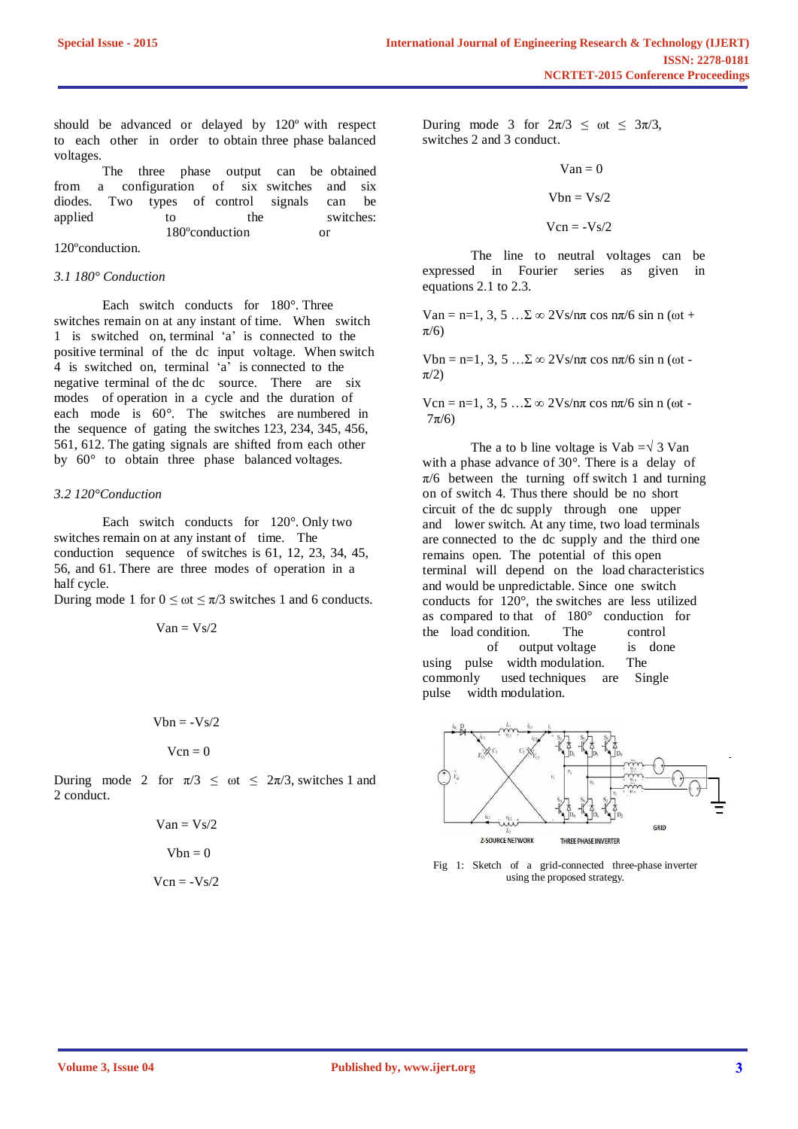should be advanced or delayed by 120º with respect to each other in order to obtain three phase balanced voltages.

The three phase output can be obtained from a configuration of six switches and six diodes. Two types of control signals can be applied to the switches: 180ºconduction or

# 120ºconduction.

### *3.1 180° Conduction*

Each switch conducts for 180°. Three switches remain on at any instant of time. When switch 1 is switched on, terminal "a" is connected to the positive terminal of the dc input voltage. When switch  $\overline{4}$  is switched on, terminal 'a' is connected to the negative terminal of the dc source. There are six modes of operation in a cycle and the duration of each mode is 60°. The switches are numbered in the sequence of gating the switches 123, 234, 345, 456, 561, 612. The gating signals are shifted from each other by 60° to obtain three phase balanced voltages.

### *3.2 120°Conduction*

Each switch conducts for 120°. Only two switches remain on at any instant of time. The conduction sequence of switches is 61, 12, 23, 34, 45, 56, and 61. There are three modes of operation in a half cycle.

During mode 1 for  $0 \le \omega t \le \pi/3$  switches 1 and 6 conducts.

$$
Van = V s/2 \\
$$

$$
Vbn = -Vs/2
$$

$$
Vcn=0
$$

During mode 2 for  $\pi/3 \leq \omega t \leq 2\pi/3$ , switches 1 and 2 conduct.

$$
Van = Vs/2
$$

$$
Vbn = 0
$$

$$
Vcn = -Vs/2
$$

During mode 3 for  $2\pi/3 \leq \omega t \leq 3\pi/3$ , switches 2 and 3 conduct.

$$
Van = 0
$$
  
 
$$
Vbn = Vs/2
$$
  
 
$$
Vcn = -Vs/2
$$

The line to neutral voltages can be expressed in Fourier series as given in equations 2.1 to 2.3.

Van = n=1, 3, 5  $\ldots \Sigma \infty$  2Vs/n $\pi$  cos n $\pi/6$  sin n ( $\omega t$  + π/6)

Vbn = n=1, 3, 5  $\ldots \Sigma \infty$  2Vs/n $\pi$  cos n $\pi/6$  sin n ( $\omega$ t - $\pi/2$ 

Vcn = n=1, 3, 5  $\ldots \Sigma \infty$  2Vs/n $\pi$  cos n $\pi/6$  sin n ( $\omega t$  - $7\pi/6$ )

The a to b line voltage is Vab = $\sqrt{3}$  Van with a phase advance of 30°. There is a delay of  $\pi/6$  between the turning off switch 1 and turning on of switch 4. Thus there should be no short circuit of the dc supply through one upper and lower switch. At any time, two load terminals are connected to the dc supply and the third one remains open. The potential of this open terminal will depend on the load characteristics and would be unpredictable. Since one switch conducts for 120°, the switches are less utilized as compared to that of 180° conduction for the load condition. The control of output voltage is done using pulse width modulation. The commonly used techniques are Single pulse width modulation.



Fig 1: Sketch of a grid-connected three-phase inverter using the proposed strategy.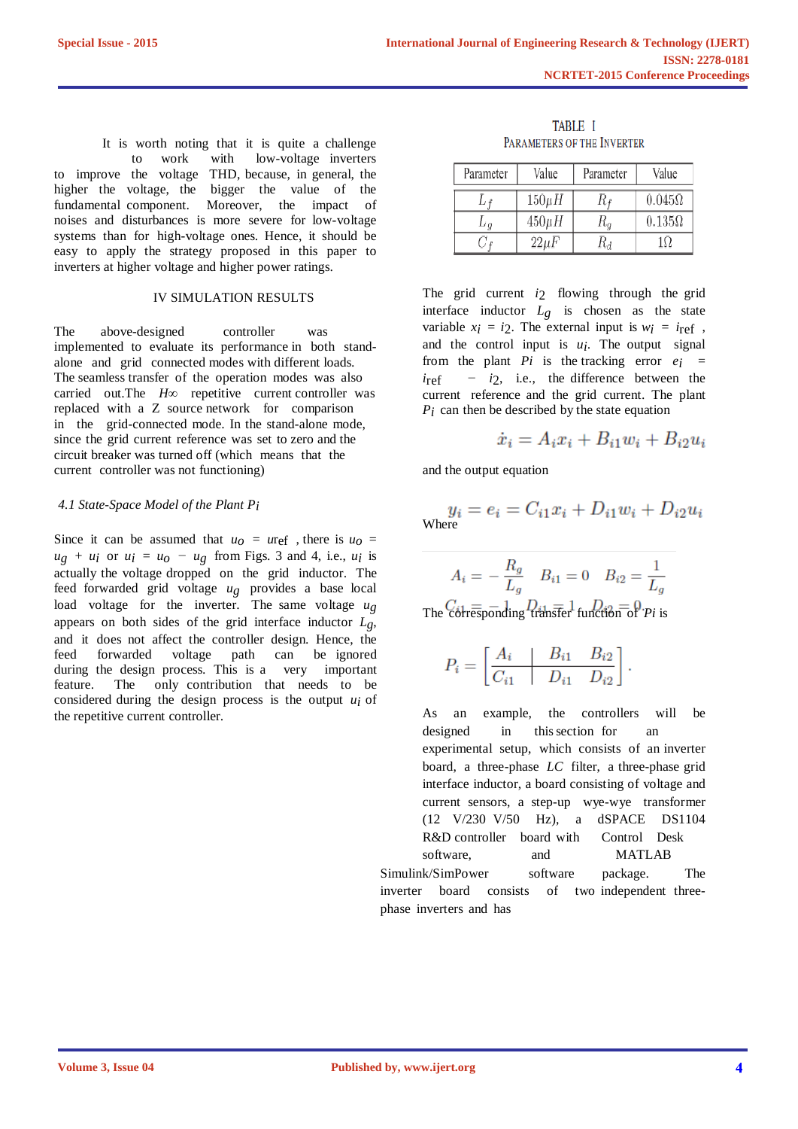It is worth noting that it is quite a challenge to work with low-voltage inverters to improve the voltage THD, because, in general, the higher the voltage, the bigger the value of the fundamental component. Moreover, the impact of noises and disturbances is more severe for low-voltage systems than for high-voltage ones. Hence, it should be easy to apply the strategy proposed in this paper to inverters at higher voltage and higher power ratings.

#### IV SIMULATION RESULTS

The above-designed controller was implemented to evaluate its performance in both standalone and grid connected modes with different loads. The seamless transfer of the operation modes was also carried out.The *H∞* repetitive current controller was replaced with a Z source network for comparison in the grid-connected mode. In the stand-alone mode, since the grid current reference was set to zero and the circuit breaker was turned off (which means that the current controller was not functioning)

#### *4.1 State-Space Model of the Plant Pi*

Since it can be assumed that  $u_0 = u \cdot f$ , there is  $u_0 =$  $u_g + u_i$  or  $u_i = u_o - u_g$  from Figs. 3 and 4, i.e.,  $u_i$  is actually the voltage dropped on the grid inductor. The feed forwarded grid voltage *ug* provides a base local load voltage for the inverter. The same voltage *ug* appears on both sides of the grid interface inductor *Lg*, and it does not affect the controller design. Hence, the feed forwarded voltage path can be ignored during the design process. This is a very important feature. The only contribution that needs to be considered during the design process is the output *ui* of the repetitive current controller.

**TABLE I** PARAMETERS OF THE INVERTER

| Parameter | Value      | Parameter   | Value         |
|-----------|------------|-------------|---------------|
|           | $150\mu H$ | п           | $0.045\Omega$ |
| 10        | $450\mu H$ | $\Lambda_0$ | $0.135\Omega$ |
|           | $22\mu F$  |             |               |

The grid current *i*2 flowing through the grid interface inductor  $L_g$  is chosen as the state variable  $x_i = i_2$ . The external input is  $w_i = i_{ref}$ , and the control input is  $u_i$ . The output signal from the plant  $Pi$  is the tracking error  $e_i$  = *i*ref *− i*2, i.e., the difference between the current reference and the grid current. The plant *Pi* can then be described by the state equation

$$
\dot{x}_i = A_i x_i + B_{i1} w_i + B_{i2} u_i
$$

and the output equation

$$
y_i = e_i = C_{i1}x_i + D_{i1}w_i + D_{i2}u_i
$$
  
Where

$$
A_i = -\frac{R_g}{L_g} \quad B_{i1} = 0 \quad B_{i2} = \frac{1}{L_g}
$$
  
The Cótr~~es~~ponding  $\Omega_{\text{t}} = \frac{1}{2}$  function of *Pi* is

$$
P_i = \begin{bmatrix} A_i & B_{i1} & B_{i2} \\ \hline C_{i1} & D_{i1} & D_{i2} \end{bmatrix}
$$

As an example, the controllers will be designed in thissection for an experimental setup, which consists of an inverter board, a three-phase *LC* filter, a three-phase grid interface inductor, a board consisting of voltage and current sensors, a step-up wye-wye transformer (12 V/230 V/50 Hz), a dSPACE DS1104 R&D controller board with Control Desk software, and MATLAB Simulink/SimPower software package. The inverter board consists of two independent threephase inverters and has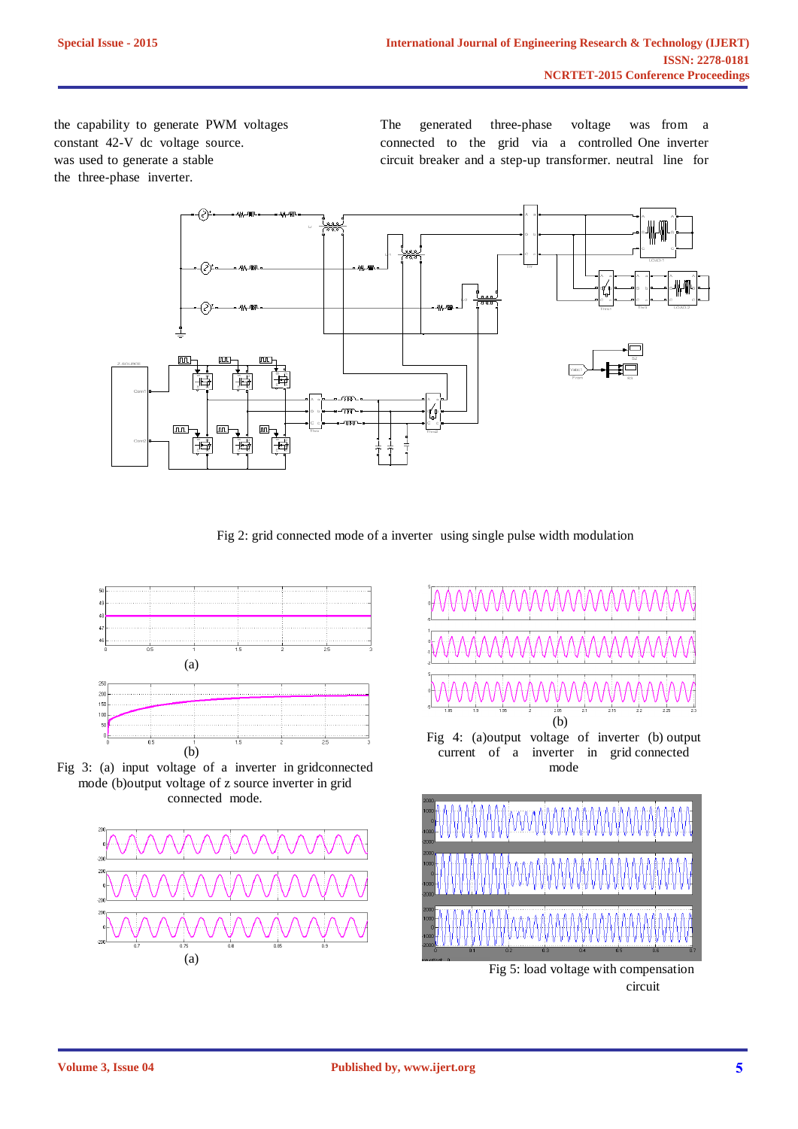the three-phase inverter.

the capability to generate PWM voltages The generated three-phase voltage was from a constant 42-V dc voltage source. connected to the grid via a controlled One inverter was used to generate a stable circuit breaker and a step-up transformer. neutral line for



Fig 2: grid connected mode of a inverter using single pulse width modulation



Fig 3: (a) input voltage of a inverter in gridconnected mode (b)output voltage of z source inverter in grid connected mode.







Fig 5: load voltage with compensation circuit